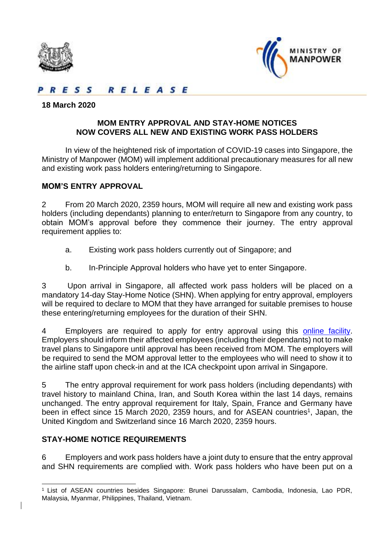



RELEASE  $E S S$ 

#### **18 March 2020**

### **MOM ENTRY APPROVAL AND STAY-HOME NOTICES NOW COVERS ALL NEW AND EXISTING WORK PASS HOLDERS**

In view of the heightened risk of importation of COVID-19 cases into Singapore, the Ministry of Manpower (MOM) will implement additional precautionary measures for all new and existing work pass holders entering/returning to Singapore.

### **MOM'S ENTRY APPROVAL**

2 From 20 March 2020, 2359 hours, MOM will require all new and existing work pass holders (including dependants) planning to enter/return to Singapore from any country, to obtain MOM's approval before they commence their journey. The entry approval requirement applies to:

- a. Existing work pass holders currently out of Singapore; and
- b. In-Principle Approval holders who have yet to enter Singapore.

3 Upon arrival in Singapore, all affected work pass holders will be placed on a mandatory 14-day Stay-Home Notice (SHN). When applying for entry approval, employers will be required to declare to MOM that they have arranged for suitable premises to house these entering/returning employees for the duration of their SHN.

4 Employers are required to apply for entry approval using this [online facility.](https://form.gov.sg/#!/5e3cbabee41f590012014e91) Employers should inform their affected employees (including their dependants) not to make travel plans to Singapore until approval has been received from MOM. The employers will be required to send the MOM approval letter to the employees who will need to show it to the airline staff upon check-in and at the ICA checkpoint upon arrival in Singapore.

5 The entry approval requirement for work pass holders (including dependants) with travel history to mainland China, Iran, and South Korea within the last 14 days, remains unchanged. The entry approval requirement for Italy, Spain, France and Germany have been in effect since 15 March 2020, 2359 hours, and for ASEAN countries<sup>1</sup>, Japan, the United Kingdom and Switzerland since 16 March 2020, 2359 hours.

### **STAY-HOME NOTICE REQUIREMENTS**

6 Employers and work pass holders have a joint duty to ensure that the entry approval and SHN requirements are complied with. Work pass holders who have been put on a

 $\overline{a}$ <sup>1</sup> List of ASEAN countries besides Singapore: Brunei Darussalam, Cambodia, Indonesia, Lao PDR, Malaysia, Myanmar, Philippines, Thailand, Vietnam.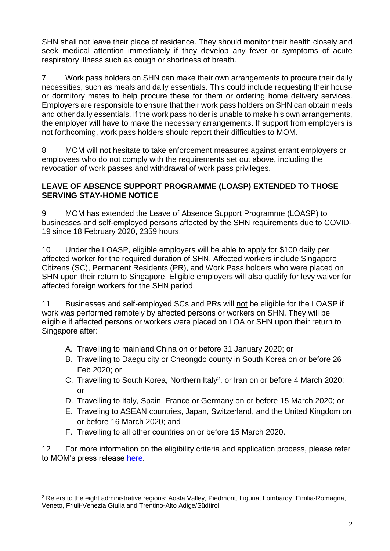SHN shall not leave their place of residence. They should monitor their health closely and seek medical attention immediately if they develop any fever or symptoms of acute respiratory illness such as cough or shortness of breath.

7 Work pass holders on SHN can make their own arrangements to procure their daily necessities, such as meals and daily essentials. This could include requesting their house or dormitory mates to help procure these for them or ordering home delivery services. Employers are responsible to ensure that their work pass holders on SHN can obtain meals and other daily essentials. If the work pass holder is unable to make his own arrangements, the employer will have to make the necessary arrangements. If support from employers is not forthcoming, work pass holders should report their difficulties to MOM.

8 MOM will not hesitate to take enforcement measures against errant employers or employees who do not comply with the requirements set out above, including the revocation of work passes and withdrawal of work pass privileges.

# **LEAVE OF ABSENCE SUPPORT PROGRAMME (LOASP) EXTENDED TO THOSE SERVING STAY-HOME NOTICE**

9 MOM has extended the Leave of Absence Support Programme (LOASP) to businesses and self-employed persons affected by the SHN requirements due to COVID-19 since 18 February 2020, 2359 hours.

10 Under the LOASP, eligible employers will be able to apply for \$100 daily per affected worker for the required duration of SHN. Affected workers include Singapore Citizens (SC), Permanent Residents (PR), and Work Pass holders who were placed on SHN upon their return to Singapore. Eligible employers will also qualify for levy waiver for affected foreign workers for the SHN period.

11 Businesses and self-employed SCs and PRs will not be eligible for the LOASP if work was performed remotely by affected persons or workers on SHN. They will be eligible if affected persons or workers were placed on LOA or SHN upon their return to Singapore after:

- A. Travelling to mainland China on or before 31 January 2020; or
- B. Travelling to Daegu city or Cheongdo county in South Korea on or before 26 Feb 2020; or
- C. Travelling to South Korea, Northern Italy<sup>2</sup>, or Iran on or before 4 March 2020; or
- D. Travelling to Italy, Spain, France or Germany on or before 15 March 2020; or
- E. Traveling to ASEAN countries, Japan, Switzerland, and the United Kingdom on or before 16 March 2020; and
- F. Travelling to all other countries on or before 15 March 2020.

12 For more information on the eligibility criteria and application process, please refer to MOM's press release [here.](https://www.mom.gov.sg/newsroom/press-releases/2020/0217-loasp-extended-to-those-serving-stay-home-notice)

 $\overline{a}$ <sup>2</sup> Refers to the eight administrative regions: Aosta Valley, Piedmont, Liguria, Lombardy, Emilia-Romagna, Veneto, Friuli-Venezia Giulia and Trentino-Alto Adige/Südtirol